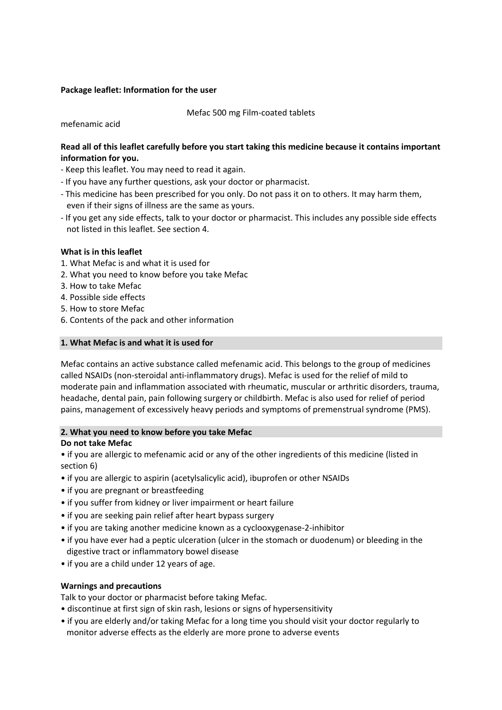### **Package leaflet: Information for the user**

Mefac 500 mg Film‐coated tablets

mefenamic acid

# **Read all of this leaflet carefully before you start taking this medicine because it contains important information for you.**

- ‐ Keep this leaflet. You may need to read it again.
- ‐ If you have any further questions, ask your doctor or pharmacist.
- ‐ This medicine has been prescribed for you only. Do not pass it on to others. It may harm them, even if their signs of illness are the same as yours.
- ‐ If you get any side effects, talk to your doctor or pharmacist. This includes any possible side effects not listed in this leaflet. See section 4.

# **What is in this leaflet**

- 1. What Mefac is and what it is used for
- 2. What you need to know before you take Mefac
- 3. How to take Mefac
- 4. Possible side effects
- 5. How to store Mefac
- 6. Contents of the pack and other information

## **1. What Mefac is and what it is used for**

Mefac contains an active substance called mefenamic acid. This belongs to the group of medicines called NSAIDs (non‐steroidal anti‐inflammatory drugs). Mefac is used for the relief of mild to moderate pain and inflammation associated with rheumatic, muscular or arthritic disorders, trauma, headache, dental pain, pain following surgery or childbirth. Mefac is also used for relief of period pains, management of excessively heavy periods and symptoms of premenstrual syndrome (PMS).

### **2. What you need to know before you take Mefac**

### **Do not take Mefac**

• if you are allergic to mefenamic acid or any of the other ingredients of this medicine (listed in section 6)

- if you are allergic to aspirin (acetylsalicylic acid), ibuprofen or other NSAIDs
- if you are pregnant or breastfeeding
- if you suffer from kidney or liver impairment or heart failure
- if you are seeking pain relief after heart bypass surgery
- if you are taking another medicine known as a cyclooxygenase‐2‐inhibitor
- if you have ever had a peptic ulceration (ulcer in the stomach or duodenum) or bleeding in the digestive tract or inflammatory bowel disease
- if you are a child under 12 years of age.

### **Warnings and precautions**

Talk to your doctor or pharmacist before taking Mefac.

- discontinue at first sign of skin rash, lesions or signs of hypersensitivity
- if you are elderly and/or taking Mefac for a long time you should visit your doctor regularly to monitor adverse effects as the elderly are more prone to adverse events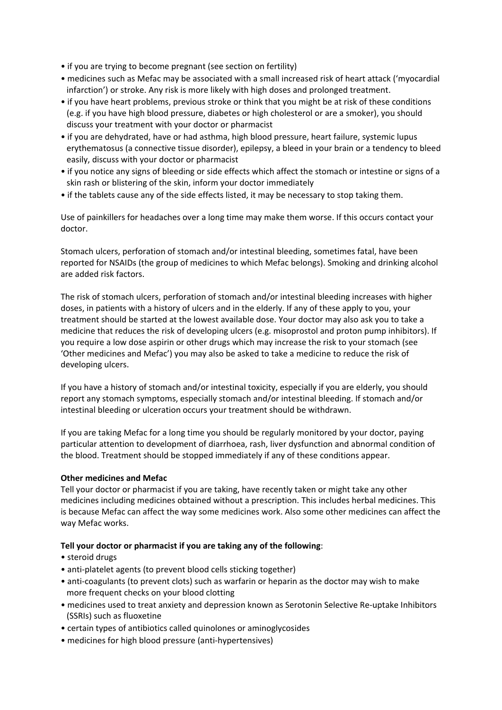- if you are trying to become pregnant (see section on fertility)
- medicines such as Mefac may be associated with a small increased risk of heart attack ('myocardial infarction') or stroke. Any risk is more likely with high doses and prolonged treatment.
- if you have heart problems, previous stroke or think that you might be at risk of these conditions (e.g. if you have high blood pressure, diabetes or high cholesterol or are a smoker), you should discuss your treatment with your doctor or pharmacist
- if you are dehydrated, have or had asthma, high blood pressure, heart failure, systemic lupus erythematosus (a connective tissue disorder), epilepsy, a bleed in your brain or a tendency to bleed easily, discuss with your doctor or pharmacist
- if you notice any signs of bleeding or side effects which affect the stomach or intestine or signs of a skin rash or blistering of the skin, inform your doctor immediately
- if the tablets cause any of the side effects listed, it may be necessary to stop taking them.

Use of painkillers for headaches over a long time may make them worse. If this occurs contact your doctor.

Stomach ulcers, perforation of stomach and/or intestinal bleeding, sometimes fatal, have been reported for NSAIDs (the group of medicines to which Mefac belongs). Smoking and drinking alcohol are added risk factors.

The risk of stomach ulcers, perforation of stomach and/or intestinal bleeding increases with higher doses, in patients with a history of ulcers and in the elderly. If any of these apply to you, your treatment should be started at the lowest available dose. Your doctor may also ask you to take a medicine that reduces the risk of developing ulcers (e.g. misoprostol and proton pump inhibitors). If you require a low dose aspirin or other drugs which may increase the risk to your stomach (see 'Other medicines and Mefac') you may also be asked to take a medicine to reduce the risk of developing ulcers.

If you have a history of stomach and/or intestinal toxicity, especially if you are elderly, you should report any stomach symptoms, especially stomach and/or intestinal bleeding. If stomach and/or intestinal bleeding or ulceration occurs your treatment should be withdrawn.

If you are taking Mefac for a long time you should be regularly monitored by your doctor, paying particular attention to development of diarrhoea, rash, liver dysfunction and abnormal condition of the blood. Treatment should be stopped immediately if any of these conditions appear.

### **Other medicines and Mefac**

Tell your doctor or pharmacist if you are taking, have recently taken or might take any other medicines including medicines obtained without a prescription. This includes herbal medicines. This is because Mefac can affect the way some medicines work. Also some other medicines can affect the way Mefac works.

### **Tell your doctor or pharmacist if you are taking any of the following**:

- steroid drugs
- anti-platelet agents (to prevent blood cells sticking together)
- anti-coagulants (to prevent clots) such as warfarin or heparin as the doctor may wish to make more frequent checks on your blood clotting
- medicines used to treat anxiety and depression known as Serotonin Selective Re‐uptake Inhibitors (SSRIs) such as fluoxetine
- certain types of antibiotics called quinolones or aminoglycosides
- medicines for high blood pressure (anti‐hypertensives)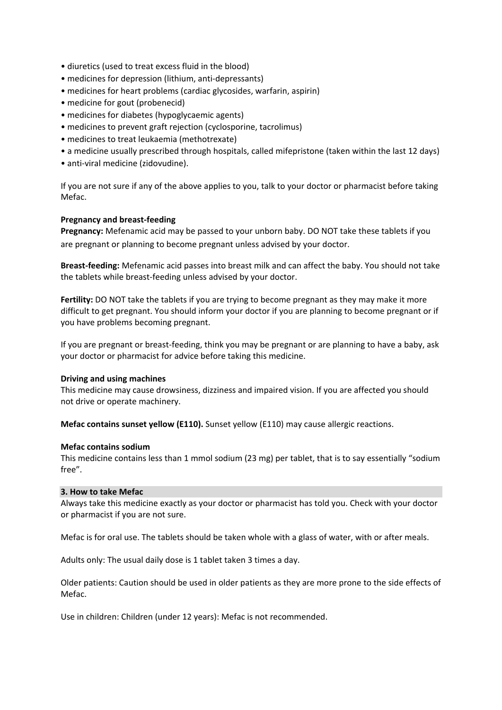- diuretics (used to treat excess fluid in the blood)
- medicines for depression (lithium, anti-depressants)
- medicines for heart problems (cardiac glycosides, warfarin, aspirin)
- medicine for gout (probenecid)
- medicines for diabetes (hypoglycaemic agents)
- medicines to prevent graft rejection (cyclosporine, tacrolimus)
- medicines to treat leukaemia (methotrexate)
- a medicine usually prescribed through hospitals, called mifepristone (taken within the last 12 days)
- anti‐viral medicine (zidovudine).

If you are not sure if any of the above applies to you, talk to your doctor or pharmacist before taking Mefac.

### **Pregnancy and breast‐feeding**

**Pregnancy:** Mefenamic acid may be passed to your unborn baby. DO NOT take these tablets if you are pregnant or planning to become pregnant unless advised by your doctor.

**Breast‐feeding:** Mefenamic acid passes into breast milk and can affect the baby. You should not take the tablets while breast‐feeding unless advised by your doctor.

**Fertility:** DO NOT take the tablets if you are trying to become pregnant as they may make it more difficult to get pregnant. You should inform your doctor if you are planning to become pregnant or if you have problems becoming pregnant.

If you are pregnant or breast‐feeding, think you may be pregnant or are planning to have a baby, ask your doctor or pharmacist for advice before taking this medicine.

#### **Driving and using machines**

This medicine may cause drowsiness, dizziness and impaired vision. If you are affected you should not drive or operate machinery.

**Mefac contains sunset yellow (E110).** Sunset yellow (E110) may cause allergic reactions.

#### **Mefac contains sodium**

This medicine contains less than 1 mmol sodium (23 mg) per tablet, that is to say essentially "sodium free".

#### **3. How to take Mefac**

Always take this medicine exactly as your doctor or pharmacist has told you. Check with your doctor or pharmacist if you are not sure.

Mefac is for oral use. The tablets should be taken whole with a glass of water, with or after meals.

Adults only: The usual daily dose is 1 tablet taken 3 times a day.

Older patients: Caution should be used in older patients as they are more prone to the side effects of Mefac.

Use in children: Children (under 12 years): Mefac is not recommended.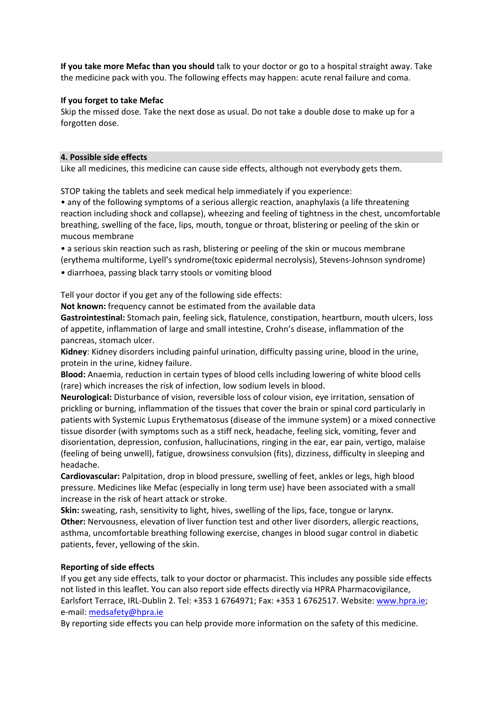**If you take more Mefac than you should** talk to your doctor or go to a hospital straight away. Take the medicine pack with you. The following effects may happen: acute renal failure and coma.

## **If you forget to take Mefac**

Skip the missed dose. Take the next dose as usual. Do not take a double dose to make up for a forgotten dose.

### **4. Possible side effects**

Like all medicines, this medicine can cause side effects, although not everybody gets them.

STOP taking the tablets and seek medical help immediately if you experience:

• any of the following symptoms of a serious allergic reaction, anaphylaxis (a life threatening reaction including shock and collapse), wheezing and feeling of tightness in the chest, uncomfortable breathing, swelling of the face, lips, mouth, tongue or throat, blistering or peeling of the skin or mucous membrane

• a serious skin reaction such as rash, blistering or peeling of the skin or mucous membrane (erythema multiforme, Lyell's syndrome(toxic epidermal necrolysis), Stevens‐Johnson syndrome) • diarrhoea, passing black tarry stools or vomiting blood

Tell your doctor if you get any of the following side effects:

**Not known:** frequency cannot be estimated from the available data

**Gastrointestinal:** Stomach pain, feeling sick, flatulence, constipation, heartburn, mouth ulcers, loss of appetite, inflammation of large and small intestine, Crohn's disease, inflammation of the pancreas, stomach ulcer.

**Kidney**: Kidney disorders including painful urination, difficulty passing urine, blood in the urine, protein in the urine, kidney failure.

**Blood:** Anaemia, reduction in certain types of blood cells including lowering of white blood cells (rare) which increases the risk of infection, low sodium levels in blood.

**Neurological:** Disturbance of vision, reversible loss of colour vision, eye irritation, sensation of prickling or burning, inflammation of the tissues that cover the brain or spinal cord particularly in patients with Systemic Lupus Erythematosus (disease of the immune system) or a mixed connective tissue disorder (with symptoms such as a stiff neck, headache, feeling sick, vomiting, fever and disorientation, depression, confusion, hallucinations, ringing in the ear, ear pain, vertigo, malaise (feeling of being unwell), fatigue, drowsiness convulsion (fits), dizziness, difficulty in sleeping and headache.

**Cardiovascular:** Palpitation, drop in blood pressure, swelling of feet, ankles or legs, high blood pressure. Medicines like Mefac (especially in long term use) have been associated with a small increase in the risk of heart attack or stroke.

**Skin:** sweating, rash, sensitivity to light, hives, swelling of the lips, face, tongue or larynx. **Other:** Nervousness, elevation of liver function test and other liver disorders, allergic reactions, asthma, uncomfortable breathing following exercise, changes in blood sugar control in diabetic patients, fever, yellowing of the skin.

# **Reporting of side effects**

If you get any side effects, talk to your doctor or pharmacist. This includes any possible side effects not listed in this leaflet. You can also report side effects directly via HPRA Pharmacovigilance, Earlsfort Terrace, IRL‐Dublin 2. Tel: +353 1 6764971; Fax: +353 1 6762517. Website: www.hpra.ie; e‐mail: medsafety@hpra.ie

By reporting side effects you can help provide more information on the safety of this medicine.